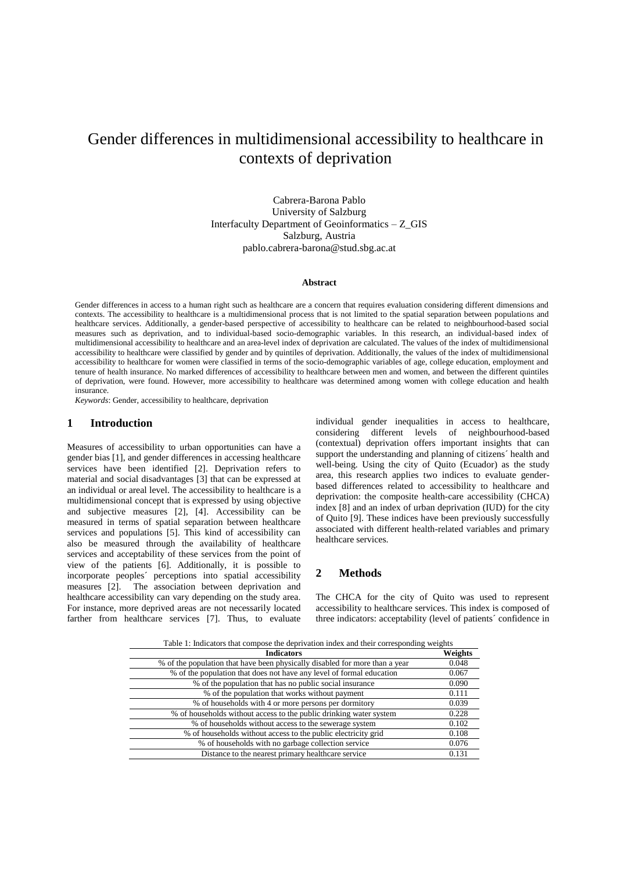# Gender differences in multidimensional accessibility to healthcare in contexts of deprivation

Cabrera-Barona Pablo University of Salzburg Interfaculty Department of Geoinformatics – Z\_GIS Salzburg, Austria pablo.cabrera-barona@stud.sbg.ac.at

## **Abstract**

Gender differences in access to a human right such as healthcare are a concern that requires evaluation considering different dimensions and contexts. The accessibility to healthcare is a multidimensional process that is not limited to the spatial separation between populations and healthcare services. Additionally, a gender-based perspective of accessibility to healthcare can be related to neighbourhood-based social measures such as deprivation, and to individual-based socio-demographic variables. In this research, an individual-based index of multidimensional accessibility to healthcare and an area-level index of deprivation are calculated. The values of the index of multidimensional accessibility to healthcare were classified by gender and by quintiles of deprivation. Additionally, the values of the index of multidimensional accessibility to healthcare for women were classified in terms of the socio-demographic variables of age, college education, employment and tenure of health insurance. No marked differences of accessibility to healthcare between men and women, and between the different quintiles of deprivation, were found. However, more accessibility to healthcare was determined among women with college education and health insurance.

*Keywords*: Gender, accessibility to healthcare, deprivation

## **1 Introduction**

Measures of accessibility to urban opportunities can have a gender bias [1], and gender differences in accessing healthcare services have been identified [2]. Deprivation refers to material and social disadvantages [3] that can be expressed at an individual or areal level. The accessibility to healthcare is a multidimensional concept that is expressed by using objective and subjective measures [2], [4]. Accessibility can be measured in terms of spatial separation between healthcare services and populations [5]. This kind of accessibility can also be measured through the availability of healthcare services and acceptability of these services from the point of view of the patients [6]. Additionally, it is possible to incorporate peoples´ perceptions into spatial accessibility measures [2]. The association between deprivation and healthcare accessibility can vary depending on the study area. For instance, more deprived areas are not necessarily located farther from healthcare services [7]. Thus, to evaluate individual gender inequalities in access to healthcare, considering different levels of neighbourhood-based (contextual) deprivation offers important insights that can support the understanding and planning of citizens´ health and well-being. Using the city of Quito (Ecuador) as the study area, this research applies two indices to evaluate genderbased differences related to accessibility to healthcare and deprivation: the composite health-care accessibility (CHCA) index [8] and an index of urban deprivation (IUD) for the city of Quito [9]. These indices have been previously successfully associated with different health-related variables and primary healthcare services.

# **2 Methods**

The CHCA for the city of Quito was used to represent accessibility to healthcare services. This index is composed of three indicators: acceptability (level of patients´ confidence in

| <b>Indicators</b>                                                           | Weights |
|-----------------------------------------------------------------------------|---------|
| % of the population that have been physically disabled for more than a year | 0.048   |
| % of the population that does not have any level of formal education        | 0.067   |
| % of the population that has no public social insurance                     | 0.090   |
| % of the population that works without payment                              | 0.111   |
| % of households with 4 or more persons per dormitory                        | 0.039   |
| % of households without access to the public drinking water system          | 0.228   |
| % of households without access to the sewerage system                       | 0.102   |
| % of households without access to the public electricity grid               | 0.108   |
| % of households with no garbage collection service                          | 0.076   |
| Distance to the nearest primary healthcare service                          | 0.131   |

 $Table 1: Indicators that compose the derivation index and their corresponding weight\n $\frac{1}{2} \sum_{i=1}^{n} \frac{1}{i} \sum_{i=1}^{n} \frac{1}{i} \sum_{i=1}^{n} \frac{1}{i} \sum_{i=1}^{n} \frac{1}{i} \sum_{i=1}^{n} \frac{1}{i} \sum_{i=1}^{n} \frac{1}{i} \sum_{i=1}^{n} \frac{1}{i} \sum_{i=1}^{n} \frac{1}{i} \sum_{i=1}^{n} \frac{1}{i} \sum_{i=1}^{n} \frac{1}{i} \sum_{i=1}^{n} \frac{1}{i} \sum_{i=1$$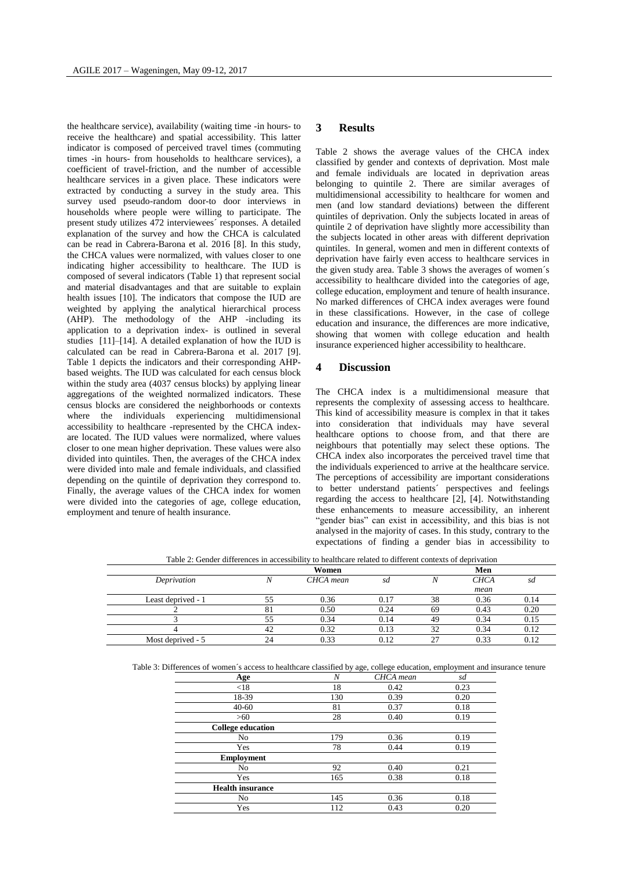the healthcare service), availability (waiting time -in hours- to receive the healthcare) and spatial accessibility. This latter indicator is composed of perceived travel times (commuting times -in hours- from households to healthcare services), a coefficient of travel-friction, and the number of accessible healthcare services in a given place. These indicators were extracted by conducting a survey in the study area. This survey used pseudo-random door-to door interviews in households where people were willing to participate. The present study utilizes 472 interviewees´ responses. A detailed explanation of the survey and how the CHCA is calculated can be read in Cabrera-Barona et al. 2016 [8]. In this study, the CHCA values were normalized, with values closer to one indicating higher accessibility to healthcare. The IUD is composed of several indicators (Table 1) that represent social and material disadvantages and that are suitable to explain health issues [10]. The indicators that compose the IUD are weighted by applying the analytical hierarchical process (AHP). The methodology of the AHP -including its application to a deprivation index- is outlined in several studies [11]–[14]. A detailed explanation of how the IUD is calculated can be read in Cabrera-Barona et al. 2017 [9]. Table 1 depicts the indicators and their corresponding AHPbased weights. The IUD was calculated for each census block within the study area (4037 census blocks) by applying linear aggregations of the weighted normalized indicators. These census blocks are considered the neighborhoods or contexts where the individuals experiencing multidimensional accessibility to healthcare -represented by the CHCA indexare located. The IUD values were normalized, where values closer to one mean higher deprivation. These values were also divided into quintiles. Then, the averages of the CHCA index were divided into male and female individuals, and classified depending on the quintile of deprivation they correspond to. Finally, the average values of the CHCA index for women were divided into the categories of age, college education, employment and tenure of health insurance.

#### **3 Results**

Table 2 shows the average values of the CHCA index classified by gender and contexts of deprivation. Most male and female individuals are located in deprivation areas belonging to quintile 2. There are similar averages of multidimensional accessibility to healthcare for women and men (and low standard deviations) between the different quintiles of deprivation. Only the subjects located in areas of quintile 2 of deprivation have slightly more accessibility than the subjects located in other areas with different deprivation quintiles. In general, women and men in different contexts of deprivation have fairly even access to healthcare services in the given study area. Table 3 shows the averages of women´s accessibility to healthcare divided into the categories of age, college education, employment and tenure of health insurance. No marked differences of CHCA index averages were found in these classifications. However, in the case of college education and insurance, the differences are more indicative, showing that women with college education and health insurance experienced higher accessibility to healthcare.

### **4 Discussion**

The CHCA index is a multidimensional measure that represents the complexity of assessing access to healthcare. This kind of accessibility measure is complex in that it takes into consideration that individuals may have several healthcare options to choose from, and that there are neighbours that potentially may select these options. The CHCA index also incorporates the perceived travel time that the individuals experienced to arrive at the healthcare service. The perceptions of accessibility are important considerations to better understand patients´ perspectives and feelings regarding the access to healthcare [2], [4]. Notwithstanding these enhancements to measure accessibility, an inherent "gender bias" can exist in accessibility, and this bias is not analysed in the majority of cases. In this study, contrary to the expectations of finding a gender bias in accessibility to

|                    | Women |           |      | Men |             |      |
|--------------------|-------|-----------|------|-----|-------------|------|
| Deprivation        |       | CHCA mean | sd   |     | <b>CHCA</b> | sa   |
|                    |       |           |      |     | mean        |      |
| Least deprived - 1 |       | 0.36      | 0.17 | 38  | 0.36        | 0.14 |
|                    |       | 0.50      | 0.24 | 69  | 0.43        | 0.20 |
|                    |       | 0.34      | 0.14 | 49  | 0.34        | 0.15 |
|                    |       | 0.32      | 0.13 | 32  | 0.34        | 0.12 |
| Most deprived - 5  |       | 0.33      | 0.12 | 27  | 0.33        | 0.12 |

Table 2: Gender differences in accessibility to healthcare related to different contexts of deprivation

Table 3: Differences of women´s access to healthcare classified by age, college education, employment and insurance tenure

| Age                      | $\overline{N}$ | CHCA mean | sd   |
|--------------------------|----------------|-----------|------|
| < 18                     | 18             | 0.42      | 0.23 |
| 18-39                    | 130            | 0.39      | 0.20 |
| $40 - 60$                | 81             | 0.37      | 0.18 |
| >60                      | 28             | 0.40      | 0.19 |
| <b>College education</b> |                |           |      |
| No                       | 179            | 0.36      | 0.19 |
| Yes                      | 78             | 0.44      | 0.19 |
| <b>Employment</b>        |                |           |      |
| No                       | 92             | 0.40      | 0.21 |
| Yes                      | 165            | 0.38      | 0.18 |
| <b>Health insurance</b>  |                |           |      |
| No                       | 145            | 0.36      | 0.18 |
| Yes                      | 112            | 0.43      | 0.20 |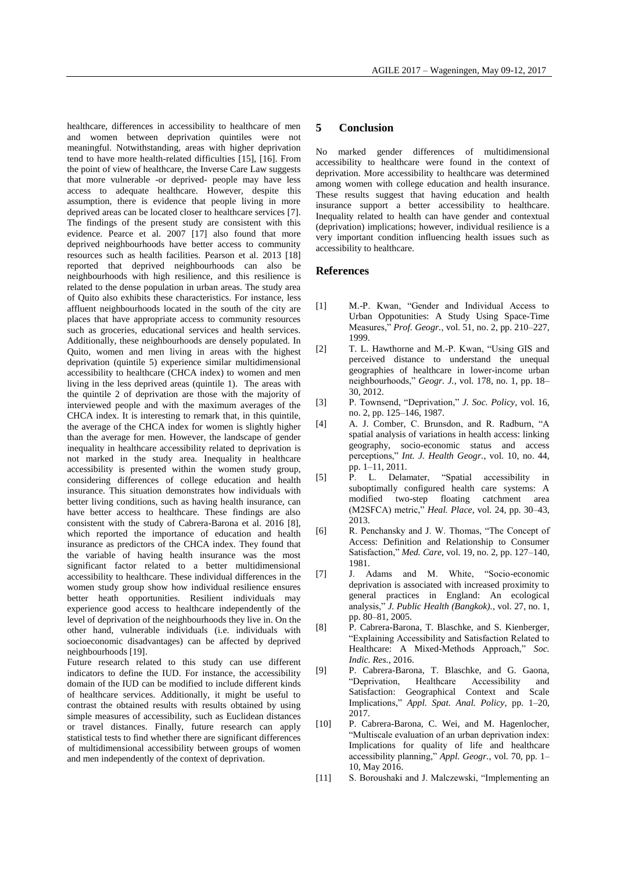healthcare, differences in accessibility to healthcare of men and women between deprivation quintiles were not meaningful. Notwithstanding, areas with higher deprivation tend to have more health-related difficulties [15], [16]. From the point of view of healthcare, the Inverse Care Law suggests that more vulnerable -or deprived- people may have less access to adequate healthcare. However, despite this assumption, there is evidence that people living in more deprived areas can be located closer to healthcare services [7]. The findings of the present study are consistent with this evidence. Pearce et al. 2007 [17] also found that more deprived neighbourhoods have better access to community resources such as health facilities. Pearson et al. 2013 [18] reported that deprived neighbourhoods can also be neighbourhoods with high resilience, and this resilience is related to the dense population in urban areas. The study area of Quito also exhibits these characteristics. For instance, less affluent neighbourhoods located in the south of the city are places that have appropriate access to community resources such as groceries, educational services and health services. Additionally, these neighbourhoods are densely populated. In Quito, women and men living in areas with the highest deprivation (quintile 5) experience similar multidimensional accessibility to healthcare (CHCA index) to women and men living in the less deprived areas (quintile 1). The areas with the quintile 2 of deprivation are those with the majority of interviewed people and with the maximum averages of the CHCA index. It is interesting to remark that, in this quintile, the average of the CHCA index for women is slightly higher than the average for men. However, the landscape of gender inequality in healthcare accessibility related to deprivation is not marked in the study area. Inequality in healthcare accessibility is presented within the women study group, considering differences of college education and health insurance. This situation demonstrates how individuals with better living conditions, such as having health insurance, can have better access to healthcare. These findings are also consistent with the study of Cabrera-Barona et al. 2016 [8], which reported the importance of education and health insurance as predictors of the CHCA index. They found that the variable of having health insurance was the most significant factor related to a better multidimensional accessibility to healthcare. These individual differences in the women study group show how individual resilience ensures better heath opportunities. Resilient individuals may experience good access to healthcare independently of the level of deprivation of the neighbourhoods they live in. On the other hand, vulnerable individuals (i.e. individuals with socioeconomic disadvantages) can be affected by deprived neighbourhoods [19].

Future research related to this study can use different indicators to define the IUD. For instance, the accessibility domain of the IUD can be modified to include different kinds of healthcare services. Additionally, it might be useful to contrast the obtained results with results obtained by using simple measures of accessibility, such as Euclidean distances or travel distances. Finally, future research can apply statistical tests to find whether there are significant differences of multidimensional accessibility between groups of women and men independently of the context of deprivation.

# **5 Conclusion**

No marked gender differences of multidimensional accessibility to healthcare were found in the context of deprivation. More accessibility to healthcare was determined among women with college education and health insurance. These results suggest that having education and health insurance support a better accessibility to healthcare. Inequality related to health can have gender and contextual (deprivation) implications; however, individual resilience is a very important condition influencing health issues such as accessibility to healthcare.

#### **References**

- [1] M.-P. Kwan, "Gender and Individual Access to Urban Oppotunities: A Study Using Space-Time Measures," *Prof. Geogr.*, vol. 51, no. 2, pp. 210–227, 1999.
- [2] T. L. Hawthorne and M.-P. Kwan, "Using GIS and perceived distance to understand the unequal geographies of healthcare in lower-income urban neighbourhoods," *Geogr. J.*, vol. 178, no. 1, pp. 18– 30, 2012.
- [3] P. Townsend, "Deprivation," *J. Soc. Policy*, vol. 16, no. 2, pp. 125–146, 1987.
- [4] A. J. Comber, C. Brunsdon, and R. Radburn, "A spatial analysis of variations in health access: linking geography, socio-economic status and access perceptions," *Int. J. Health Geogr.*, vol. 10, no. 44, pp. 1–11, 2011.
- [5] P. L. Delamater, "Spatial accessibility in suboptimally configured health care systems: A modified two-step floating catchment area (M2SFCA) metric," *Heal. Place*, vol. 24, pp. 30–43, 2013.
- [6] R. Penchansky and J. W. Thomas, "The Concept of Access: Definition and Relationship to Consumer Satisfaction," *Med. Care*, vol. 19, no. 2, pp. 127–140, 1981.
- [7] J. Adams and M. White, "Socio-economic deprivation is associated with increased proximity to general practices in England: An ecological analysis," *J. Public Health (Bangkok).*, vol. 27, no. 1, pp. 80–81, 2005.
- [8] P. Cabrera-Barona, T. Blaschke, and S. Kienberger, "Explaining Accessibility and Satisfaction Related to Healthcare: A Mixed-Methods Approach," *Soc. Indic. Res.*, 2016.
- [9] P. Cabrera-Barona, T. Blaschke, and G. Gaona, "Deprivation, Healthcare Accessibility and Satisfaction: Geographical Context and Scale Implications," *Appl. Spat. Anal. Policy*, pp. 1–20, 2017.
- [10] P. Cabrera-Barona, C. Wei, and M. Hagenlocher, "Multiscale evaluation of an urban deprivation index: Implications for quality of life and healthcare accessibility planning," *Appl. Geogr.*, vol. 70, pp. 1– 10, May 2016.
- [11] S. Boroushaki and J. Malczewski, "Implementing an